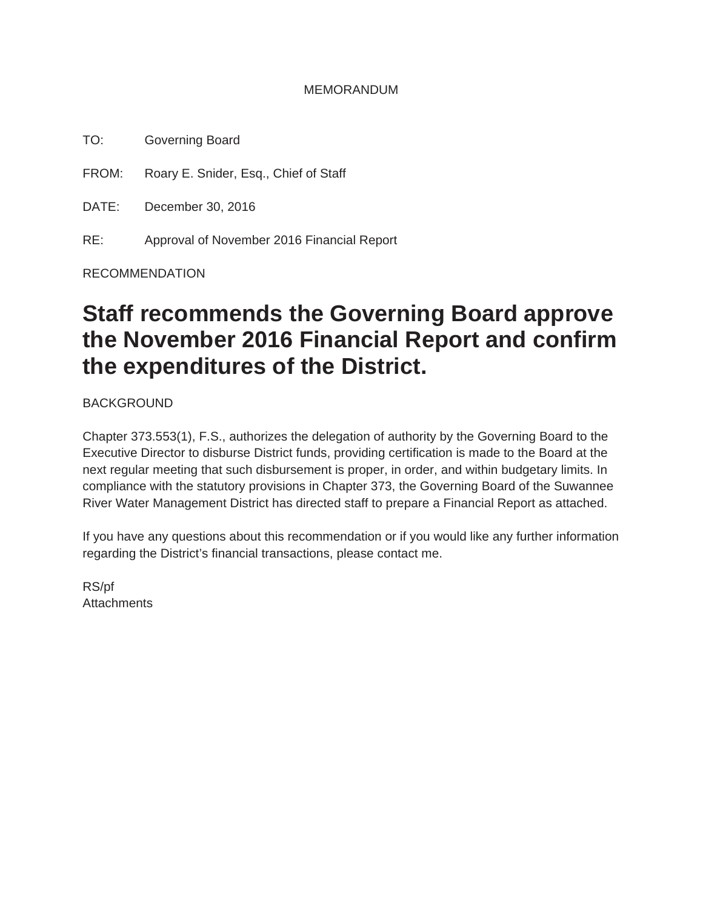#### MEMORANDUM

TO: Governing Board

FROM: Roary E. Snider, Esq., Chief of Staff

DATE: December 30, 2016

RE: Approval of November 2016 Financial Report

RECOMMENDATION

# **Staff recommends the Governing Board approve the November 2016 Financial Report and confirm the expenditures of the District.**

BACKGROUND

Chapter 373.553(1), F.S., authorizes the delegation of authority by the Governing Board to the Executive Director to disburse District funds, providing certification is made to the Board at the next regular meeting that such disbursement is proper, in order, and within budgetary limits. In compliance with the statutory provisions in Chapter 373, the Governing Board of the Suwannee River Water Management District has directed staff to prepare a Financial Report as attached.

If you have any questions about this recommendation or if you would like any further information regarding the District's financial transactions, please contact me.

RS/pf **Attachments**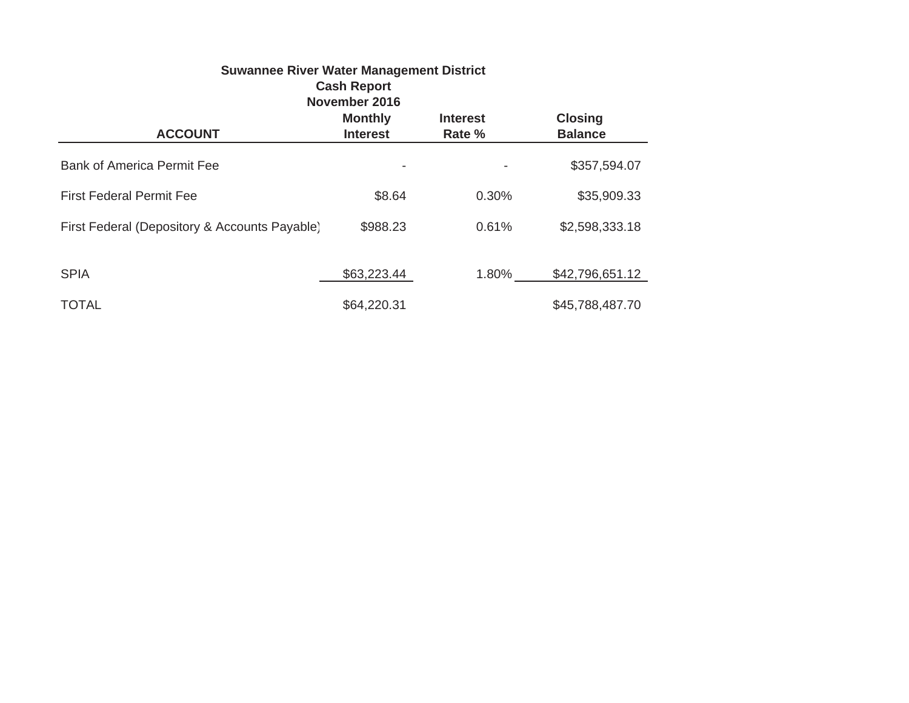| <b>Suwannee River Water Management District</b><br><b>Cash Report</b><br>November 2016 |                                   |                           |                                  |  |  |  |
|----------------------------------------------------------------------------------------|-----------------------------------|---------------------------|----------------------------------|--|--|--|
| <b>ACCOUNT</b>                                                                         | <b>Monthly</b><br><b>Interest</b> | <b>Interest</b><br>Rate % | <b>Closing</b><br><b>Balance</b> |  |  |  |
| <b>Bank of America Permit Fee</b>                                                      |                                   | $\overline{\phantom{a}}$  | \$357,594.07                     |  |  |  |
| <b>First Federal Permit Fee</b>                                                        | \$8.64                            | 0.30%                     | \$35,909.33                      |  |  |  |
| First Federal (Depository & Accounts Payable)                                          | \$988.23                          | 0.61%                     | \$2,598,333.18                   |  |  |  |
| <b>SPIA</b>                                                                            | \$63,223.44                       | 1.80%                     | \$42,796,651.12                  |  |  |  |
| <b>TOTAL</b>                                                                           | \$64,220.31                       |                           | \$45,788,487.70                  |  |  |  |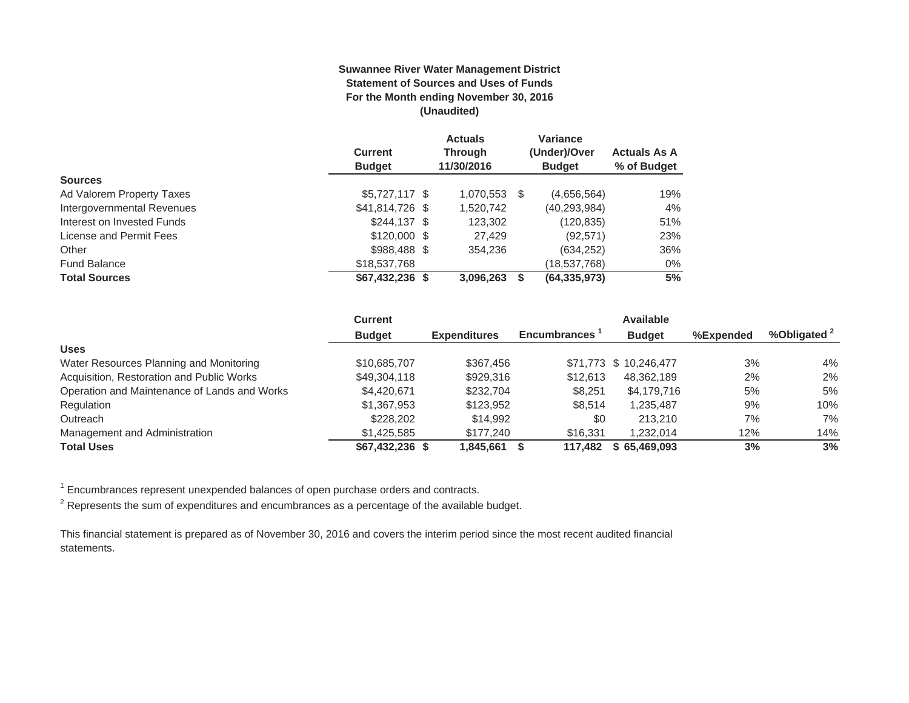#### **Suwannee River Water Management District Statement of Sources and Uses of Funds For the Month ending November 30, 2016 (Unaudited)**

|                            |                  | <b>Actuals</b> |     | Variance       |                     |
|----------------------------|------------------|----------------|-----|----------------|---------------------|
|                            | <b>Current</b>   | <b>Through</b> |     | (Under)/Over   | <b>Actuals As A</b> |
|                            | <b>Budget</b>    | 11/30/2016     |     | <b>Budget</b>  | % of Budget         |
| <b>Sources</b>             |                  |                |     |                |                     |
| Ad Valorem Property Taxes  | $$5,727,117$ \$  | 1,070,553      | \$. | (4,656,564)    | 19%                 |
| Intergovernmental Revenues | \$41,814,726 \$  | 1,520,742      |     | (40, 293, 984) | 4%                  |
| Interest on Invested Funds | $$244.137$ \$    | 123,302        |     | (120,835)      | 51%                 |
| License and Permit Fees    | $$120,000$ \$    | 27.429         |     | (92, 571)      | 23%                 |
| Other                      | $$988,488$ \$    | 354,236        |     | (634, 252)     | 36%                 |
| <b>Fund Balance</b>        | \$18,537,768     |                |     | (18,537,768)   | $0\%$               |
| <b>Total Sources</b>       | $$67,432,236$ \$ | 3,096,263      |     | (64, 335, 973) | 5%                  |

|                                              | <b>Current</b>  |                     |                     | <b>Available</b>       |           |                         |
|----------------------------------------------|-----------------|---------------------|---------------------|------------------------|-----------|-------------------------|
|                                              | <b>Budget</b>   | <b>Expenditures</b> | <b>Encumbrances</b> | <b>Budget</b>          | %Expended | %Obligated <sup>2</sup> |
| <b>Uses</b>                                  |                 |                     |                     |                        |           |                         |
| Water Resources Planning and Monitoring      | \$10,685,707    | \$367.456           |                     | \$71,773 \$ 10,246,477 | 3%        | 4%                      |
| Acquisition, Restoration and Public Works    | \$49,304,118    | \$929,316           | \$12,613            | 48.362.189             | 2%        | $2\%$                   |
| Operation and Maintenance of Lands and Works | \$4,420,671     | \$232,704           | \$8.251             | \$4,179,716            | 5%        | 5%                      |
| Regulation                                   | \$1,367,953     | \$123,952           | \$8.514             | 1,235,487              | 9%        | $10\%$                  |
| Outreach                                     | \$228,202       | \$14.992            | \$0                 | 213,210                | 7%        | 7%                      |
| Management and Administration                | \$1.425.585     | \$177,240           | \$16,331            | 1.232.014              | 12%       | 14%                     |
| <b>Total Uses</b>                            | \$67,432,236 \$ | 1.845.661           | 117.482             | \$65,469,093           | 3%        | 3%                      |

 $1$  Encumbrances represent unexpended balances of open purchase orders and contracts.

 $2$  Represents the sum of expenditures and encumbrances as a percentage of the available budget.

This financial statement is prepared as of November 30, 2016 and covers the interim period since the most recent audited financial statements.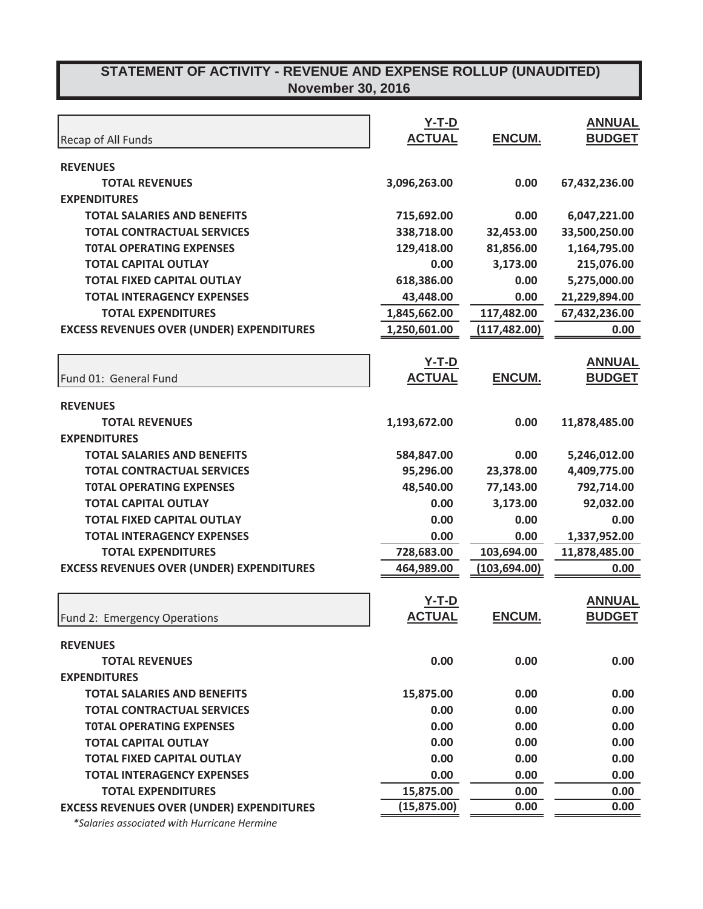|                                                  | $Y-T-D$       |               | <b>ANNUAL</b> |
|--------------------------------------------------|---------------|---------------|---------------|
| Recap of All Funds                               | <b>ACTUAL</b> | ENCUM.        | <b>BUDGET</b> |
| <b>REVENUES</b>                                  |               |               |               |
| <b>TOTAL REVENUES</b>                            | 3,096,263.00  | 0.00          | 67,432,236.00 |
| <b>EXPENDITURES</b>                              |               |               |               |
| <b>TOTAL SALARIES AND BENEFITS</b>               | 715,692.00    | 0.00          | 6,047,221.00  |
| <b>TOTAL CONTRACTUAL SERVICES</b>                | 338,718.00    | 32,453.00     | 33,500,250.00 |
| <b>TOTAL OPERATING EXPENSES</b>                  | 129,418.00    | 81,856.00     | 1,164,795.00  |
| <b>TOTAL CAPITAL OUTLAY</b>                      | 0.00          | 3,173.00      | 215,076.00    |
| <b>TOTAL FIXED CAPITAL OUTLAY</b>                | 618,386.00    | 0.00          | 5,275,000.00  |
| <b>TOTAL INTERAGENCY EXPENSES</b>                | 43,448.00     | 0.00          | 21,229,894.00 |
| <b>TOTAL EXPENDITURES</b>                        | 1,845,662.00  | 117,482.00    | 67,432,236.00 |
| <b>EXCESS REVENUES OVER (UNDER) EXPENDITURES</b> | 1,250,601.00  | (117, 482.00) | 0.00          |
|                                                  |               |               |               |
|                                                  | <u>Y-T-D</u>  |               | <b>ANNUAL</b> |
| Fund 01: General Fund                            | <b>ACTUAL</b> | <b>ENCUM.</b> | <b>BUDGET</b> |
|                                                  |               |               |               |
| <b>REVENUES</b><br><b>TOTAL REVENUES</b>         | 1,193,672.00  | 0.00          | 11,878,485.00 |
| <b>EXPENDITURES</b>                              |               |               |               |
| <b>TOTAL SALARIES AND BENEFITS</b>               |               | 0.00          |               |
|                                                  | 584,847.00    |               | 5,246,012.00  |
| <b>TOTAL CONTRACTUAL SERVICES</b>                | 95,296.00     | 23,378.00     | 4,409,775.00  |
| <b>TOTAL OPERATING EXPENSES</b>                  | 48,540.00     | 77,143.00     | 792,714.00    |
| <b>TOTAL CAPITAL OUTLAY</b>                      | 0.00          | 3,173.00      | 92,032.00     |
| <b>TOTAL FIXED CAPITAL OUTLAY</b>                | 0.00          | 0.00          | 0.00          |
| <b>TOTAL INTERAGENCY EXPENSES</b>                | 0.00          | 0.00          | 1,337,952.00  |
| <b>TOTAL EXPENDITURES</b>                        | 728,683.00    | 103,694.00    | 11,878,485.00 |
| <b>EXCESS REVENUES OVER (UNDER) EXPENDITURES</b> | 464,989.00    | (103, 694.00) | 0.00          |
|                                                  | $Y-T-D$       |               | <b>ANNUAL</b> |
| Fund 2: Emergency Operations                     | <b>ACTUAL</b> | <b>ENCUM.</b> | <b>BUDGET</b> |
|                                                  |               |               |               |
| <b>REVENUES</b>                                  |               |               |               |
| <b>TOTAL REVENUES</b>                            | 0.00          | 0.00          | 0.00          |
| <b>EXPENDITURES</b>                              |               |               |               |
| <b>TOTAL SALARIES AND BENEFITS</b>               | 15,875.00     | 0.00          | 0.00          |
| <b>TOTAL CONTRACTUAL SERVICES</b>                | 0.00          | 0.00          | 0.00          |
| <b>TOTAL OPERATING EXPENSES</b>                  | 0.00          | 0.00          | 0.00          |
| <b>TOTAL CAPITAL OUTLAY</b>                      | 0.00          | 0.00          | 0.00          |
| <b>TOTAL FIXED CAPITAL OUTLAY</b>                | 0.00          | 0.00          | 0.00          |
| <b>TOTAL INTERAGENCY EXPENSES</b>                | 0.00          | 0.00          | 0.00          |
| <b>TOTAL EXPENDITURES</b>                        | 15,875.00     | 0.00          | 0.00          |
| <b>EXCESS REVENUES OVER (UNDER) EXPENDITURES</b> | (15, 875.00)  | 0.00          | 0.00          |
|                                                  |               |               |               |

*\*Salaries associated with Hurricane Hermine*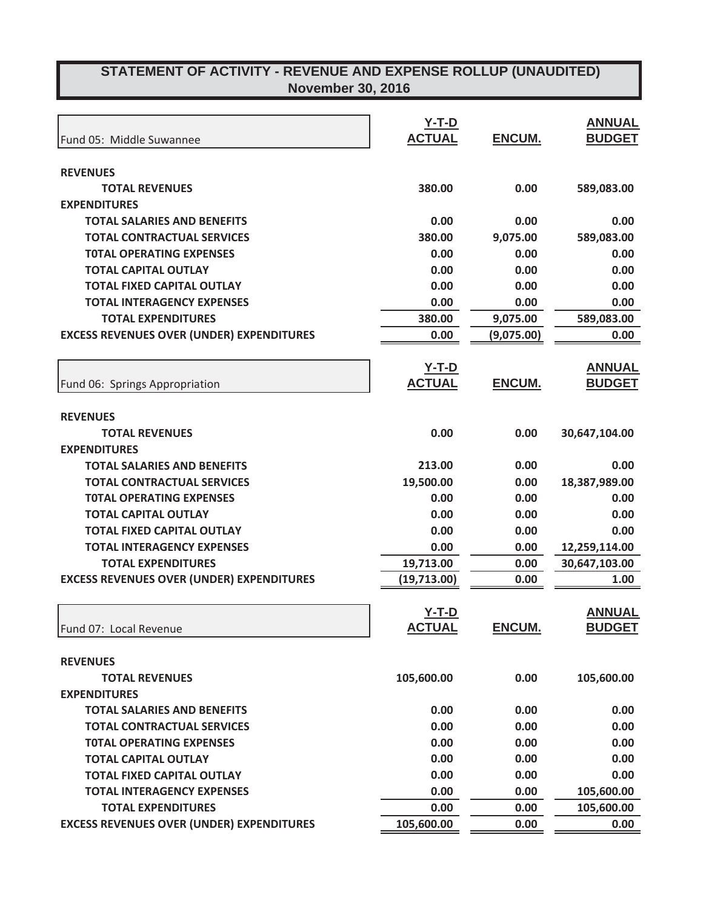| Fund 05: Middle Suwannee                         | $Y-T-D$<br><b>ACTUAL</b> | ENCUM.        | <b>ANNUAL</b><br><b>BUDGET</b> |
|--------------------------------------------------|--------------------------|---------------|--------------------------------|
|                                                  |                          |               |                                |
| <b>REVENUES</b>                                  |                          |               |                                |
| <b>TOTAL REVENUES</b>                            | 380.00                   | 0.00          | 589,083.00                     |
| <b>EXPENDITURES</b>                              |                          |               |                                |
| <b>TOTAL SALARIES AND BENEFITS</b>               | 0.00                     | 0.00          | 0.00                           |
| <b>TOTAL CONTRACTUAL SERVICES</b>                | 380.00                   | 9,075.00      | 589,083.00                     |
| <b>TOTAL OPERATING EXPENSES</b>                  | 0.00                     | 0.00          | 0.00                           |
| <b>TOTAL CAPITAL OUTLAY</b>                      | 0.00                     | 0.00          | 0.00                           |
| <b>TOTAL FIXED CAPITAL OUTLAY</b>                | 0.00                     | 0.00          | 0.00                           |
| <b>TOTAL INTERAGENCY EXPENSES</b>                | 0.00<br>380.00           | 0.00          | 0.00                           |
| <b>TOTAL EXPENDITURES</b>                        |                          | 9,075.00      | 589,083.00                     |
| <b>EXCESS REVENUES OVER (UNDER) EXPENDITURES</b> | 0.00                     | (9,075.00)    | 0.00                           |
|                                                  | <u>Y-T-D</u>             |               | <b>ANNUAL</b>                  |
| Fund 06: Springs Appropriation                   | <b>ACTUAL</b>            | ENCUM.        | <b>BUDGET</b>                  |
|                                                  |                          |               |                                |
| <b>REVENUES</b>                                  |                          |               |                                |
| <b>TOTAL REVENUES</b>                            | 0.00                     | 0.00          | 30,647,104.00                  |
| <b>EXPENDITURES</b>                              |                          |               |                                |
| <b>TOTAL SALARIES AND BENEFITS</b>               | 213.00                   | 0.00          | 0.00                           |
| <b>TOTAL CONTRACTUAL SERVICES</b>                | 19,500.00                | 0.00          | 18,387,989.00                  |
| <b>TOTAL OPERATING EXPENSES</b>                  | 0.00                     | 0.00          | 0.00                           |
| <b>TOTAL CAPITAL OUTLAY</b>                      | 0.00                     | 0.00          | 0.00                           |
| <b>TOTAL FIXED CAPITAL OUTLAY</b>                | 0.00                     | 0.00          | 0.00                           |
| <b>TOTAL INTERAGENCY EXPENSES</b>                | 0.00                     | 0.00          | 12,259,114.00                  |
| <b>TOTAL EXPENDITURES</b>                        | 19,713.00                | 0.00          | 30,647,103.00                  |
| <b>EXCESS REVENUES OVER (UNDER) EXPENDITURES</b> | (19, 713.00)             | 0.00          | 1.00                           |
|                                                  |                          |               |                                |
|                                                  | $Y-T-D$                  |               | <b>ANNUAL</b>                  |
| Fund 07: Local Revenue                           | <b>ACTUAL</b>            | <b>ENCUM.</b> | <b>BUDGET</b>                  |
| <b>REVENUES</b>                                  |                          |               |                                |
| <b>TOTAL REVENUES</b>                            | 105,600.00               | 0.00          | 105,600.00                     |
| <b>EXPENDITURES</b>                              |                          |               |                                |
| <b>TOTAL SALARIES AND BENEFITS</b>               | 0.00                     | 0.00          | 0.00                           |
| <b>TOTAL CONTRACTUAL SERVICES</b>                | 0.00                     | 0.00          | 0.00                           |
| <b>TOTAL OPERATING EXPENSES</b>                  | 0.00                     | 0.00          | 0.00                           |
| <b>TOTAL CAPITAL OUTLAY</b>                      | 0.00                     | 0.00          | 0.00                           |
| <b>TOTAL FIXED CAPITAL OUTLAY</b>                | 0.00                     | 0.00          | 0.00                           |
| <b>TOTAL INTERAGENCY EXPENSES</b>                | 0.00                     | 0.00          | 105,600.00                     |
| <b>TOTAL EXPENDITURES</b>                        | 0.00                     | 0.00          | 105,600.00                     |
| <b>EXCESS REVENUES OVER (UNDER) EXPENDITURES</b> | 105,600.00               | 0.00          | 0.00                           |
|                                                  |                          |               |                                |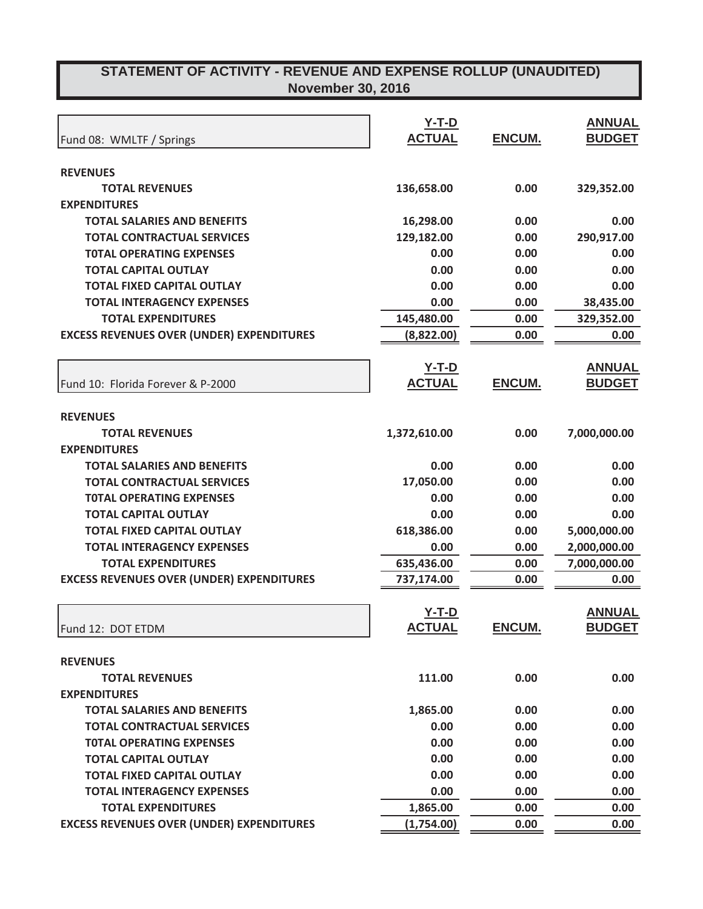|                                                  | $Y-T-D$       |               | <b>ANNUAL</b> |
|--------------------------------------------------|---------------|---------------|---------------|
| Fund 08: WMLTF / Springs                         | <b>ACTUAL</b> | ENCUM.        | <b>BUDGET</b> |
|                                                  |               |               |               |
| <b>REVENUES</b>                                  |               |               |               |
| <b>TOTAL REVENUES</b>                            | 136,658.00    | 0.00          | 329,352.00    |
| <b>EXPENDITURES</b>                              |               |               |               |
| <b>TOTAL SALARIES AND BENEFITS</b>               | 16,298.00     | 0.00          | 0.00          |
| <b>TOTAL CONTRACTUAL SERVICES</b>                | 129,182.00    | 0.00          | 290,917.00    |
| <b>TOTAL OPERATING EXPENSES</b>                  | 0.00          | 0.00          | 0.00          |
| <b>TOTAL CAPITAL OUTLAY</b>                      | 0.00          | 0.00          | 0.00          |
| <b>TOTAL FIXED CAPITAL OUTLAY</b>                | 0.00          | 0.00          | 0.00          |
| <b>TOTAL INTERAGENCY EXPENSES</b>                | 0.00          | 0.00          | 38,435.00     |
| <b>TOTAL EXPENDITURES</b>                        | 145,480.00    | 0.00          | 329,352.00    |
| <b>EXCESS REVENUES OVER (UNDER) EXPENDITURES</b> | (8,822.00)    | 0.00          | 0.00          |
|                                                  |               |               |               |
|                                                  | <u>Y-T-D</u>  |               | <b>ANNUAL</b> |
| Fund 10: Florida Forever & P-2000                | <b>ACTUAL</b> | <b>ENCUM.</b> | <b>BUDGET</b> |
|                                                  |               |               |               |
| <b>REVENUES</b>                                  |               |               |               |
| <b>TOTAL REVENUES</b>                            | 1,372,610.00  | 0.00          | 7,000,000.00  |
| <b>EXPENDITURES</b>                              |               |               |               |
| <b>TOTAL SALARIES AND BENEFITS</b>               | 0.00          | 0.00          | 0.00          |
| <b>TOTAL CONTRACTUAL SERVICES</b>                | 17,050.00     | 0.00          | 0.00          |
| <b>TOTAL OPERATING EXPENSES</b>                  | 0.00          | 0.00          | 0.00          |
| <b>TOTAL CAPITAL OUTLAY</b>                      | 0.00          | 0.00          | 0.00          |
| <b>TOTAL FIXED CAPITAL OUTLAY</b>                | 618,386.00    | 0.00          | 5,000,000.00  |
| <b>TOTAL INTERAGENCY EXPENSES</b>                | 0.00          | 0.00          | 2,000,000.00  |
| <b>TOTAL EXPENDITURES</b>                        | 635,436.00    | 0.00          | 7,000,000.00  |
| <b>EXCESS REVENUES OVER (UNDER) EXPENDITURES</b> | 737,174.00    | 0.00          | 0.00          |
|                                                  |               |               |               |
|                                                  | $Y-T-D$       |               | <b>ANNUAL</b> |
| Fund 12: DOT ETDM                                | <b>ACTUAL</b> | <b>ENCUM.</b> | <b>BUDGET</b> |
|                                                  |               |               |               |
| <b>REVENUES</b>                                  |               |               |               |
| <b>TOTAL REVENUES</b>                            | 111.00        | 0.00          | 0.00          |
| <b>EXPENDITURES</b>                              |               |               |               |
| <b>TOTAL SALARIES AND BENEFITS</b>               | 1,865.00      | 0.00          | 0.00          |
| <b>TOTAL CONTRACTUAL SERVICES</b>                | 0.00          | 0.00          | 0.00          |
| <b>TOTAL OPERATING EXPENSES</b>                  | 0.00          | 0.00          | 0.00          |
| <b>TOTAL CAPITAL OUTLAY</b>                      | 0.00          | 0.00          | 0.00          |
| <b>TOTAL FIXED CAPITAL OUTLAY</b>                | 0.00          | 0.00          | 0.00          |
| <b>TOTAL INTERAGENCY EXPENSES</b>                | 0.00          | 0.00          | 0.00          |
| <b>TOTAL EXPENDITURES</b>                        | 1,865.00      | 0.00          | 0.00          |
| <b>EXCESS REVENUES OVER (UNDER) EXPENDITURES</b> | (1,754.00)    | 0.00          | 0.00          |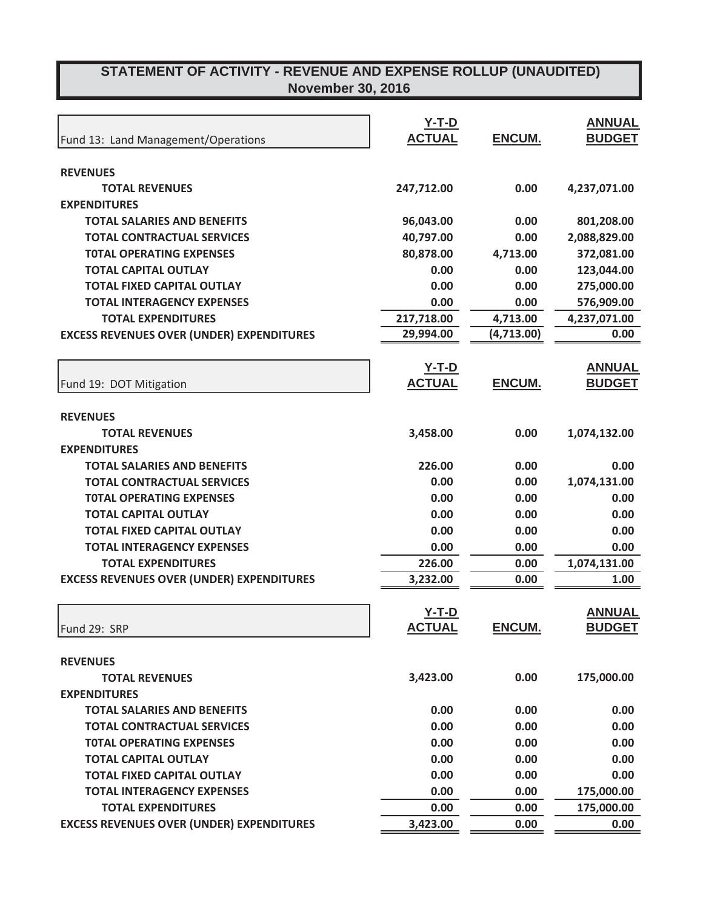|                                                  | $Y-T-D$       |               | <b>ANNUAL</b> |
|--------------------------------------------------|---------------|---------------|---------------|
| Fund 13: Land Management/Operations              | <b>ACTUAL</b> | ENCUM.        | <b>BUDGET</b> |
|                                                  |               |               |               |
| <b>REVENUES</b>                                  |               |               |               |
| <b>TOTAL REVENUES</b>                            | 247,712.00    | 0.00          | 4,237,071.00  |
| <b>EXPENDITURES</b>                              |               |               |               |
| <b>TOTAL SALARIES AND BENEFITS</b>               | 96,043.00     | 0.00          | 801,208.00    |
| <b>TOTAL CONTRACTUAL SERVICES</b>                | 40,797.00     | 0.00          | 2,088,829.00  |
| <b>TOTAL OPERATING EXPENSES</b>                  | 80,878.00     | 4,713.00      | 372,081.00    |
| <b>TOTAL CAPITAL OUTLAY</b>                      | 0.00          | 0.00          | 123,044.00    |
| <b>TOTAL FIXED CAPITAL OUTLAY</b>                | 0.00          | 0.00          | 275,000.00    |
| <b>TOTAL INTERAGENCY EXPENSES</b>                | 0.00          | 0.00          | 576,909.00    |
| <b>TOTAL EXPENDITURES</b>                        | 217,718.00    | 4,713.00      | 4,237,071.00  |
| <b>EXCESS REVENUES OVER (UNDER) EXPENDITURES</b> | 29,994.00     | (4,713.00)    | 0.00          |
|                                                  |               |               |               |
|                                                  | <u>Y-T-D</u>  |               | <b>ANNUAL</b> |
| Fund 19: DOT Mitigation                          | <b>ACTUAL</b> | <b>ENCUM.</b> | <b>BUDGET</b> |
|                                                  |               |               |               |
| <b>REVENUES</b>                                  |               |               |               |
| <b>TOTAL REVENUES</b>                            | 3,458.00      | 0.00          | 1,074,132.00  |
| <b>EXPENDITURES</b>                              |               |               |               |
| <b>TOTAL SALARIES AND BENEFITS</b>               | 226.00        | 0.00          | 0.00          |
| <b>TOTAL CONTRACTUAL SERVICES</b>                | 0.00          | 0.00          | 1,074,131.00  |
| <b>TOTAL OPERATING EXPENSES</b>                  | 0.00          | 0.00          | 0.00          |
| <b>TOTAL CAPITAL OUTLAY</b>                      | 0.00          | 0.00          | 0.00          |
| <b>TOTAL FIXED CAPITAL OUTLAY</b>                | 0.00          | 0.00          | 0.00          |
| <b>TOTAL INTERAGENCY EXPENSES</b>                | 0.00          | 0.00          | 0.00          |
| <b>TOTAL EXPENDITURES</b>                        | 226.00        | 0.00          | 1,074,131.00  |
| <b>EXCESS REVENUES OVER (UNDER) EXPENDITURES</b> | 3,232.00      | 0.00          | 1.00          |
|                                                  |               |               |               |
|                                                  | $Y-T-D$       |               | <b>ANNUAL</b> |
| Fund 29: SRP                                     | <b>ACTUAL</b> | <b>ENCUM.</b> | <b>BUDGET</b> |
|                                                  |               |               |               |
| <b>REVENUES</b>                                  |               |               |               |
| <b>TOTAL REVENUES</b>                            | 3,423.00      | 0.00          | 175,000.00    |
| <b>EXPENDITURES</b>                              |               |               |               |
| <b>TOTAL SALARIES AND BENEFITS</b>               | 0.00          | 0.00          | 0.00          |
| <b>TOTAL CONTRACTUAL SERVICES</b>                | 0.00          | 0.00          | 0.00          |
| <b>TOTAL OPERATING EXPENSES</b>                  | 0.00          | 0.00          | 0.00          |
| <b>TOTAL CAPITAL OUTLAY</b>                      | 0.00          | 0.00          | 0.00          |
| <b>TOTAL FIXED CAPITAL OUTLAY</b>                | 0.00          | 0.00          | 0.00          |
| <b>TOTAL INTERAGENCY EXPENSES</b>                | 0.00          | 0.00          | 175,000.00    |
| <b>TOTAL EXPENDITURES</b>                        | 0.00          | 0.00          | 175,000.00    |
| <b>EXCESS REVENUES OVER (UNDER) EXPENDITURES</b> | 3,423.00      | 0.00          | 0.00          |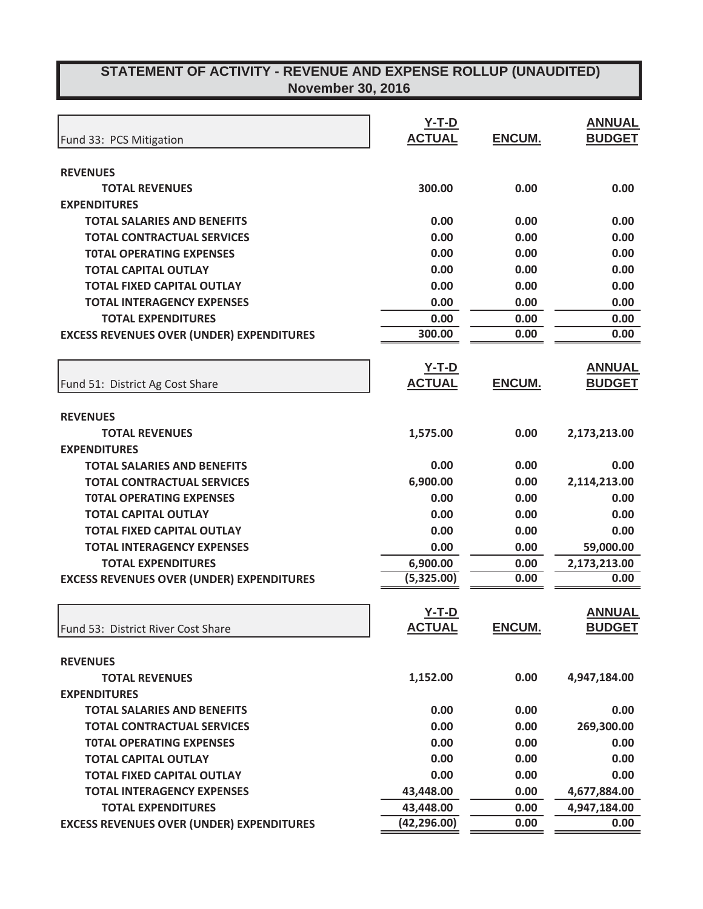|                                                  | $Y-T-D$       |               | <b>ANNUAL</b> |
|--------------------------------------------------|---------------|---------------|---------------|
| Fund 33: PCS Mitigation                          | <b>ACTUAL</b> | ENCUM.        | <b>BUDGET</b> |
|                                                  |               |               |               |
| <b>REVENUES</b>                                  |               |               |               |
| <b>TOTAL REVENUES</b>                            | 300.00        | 0.00          | 0.00          |
| <b>EXPENDITURES</b>                              |               |               |               |
| <b>TOTAL SALARIES AND BENEFITS</b>               | 0.00          | 0.00          | 0.00          |
| <b>TOTAL CONTRACTUAL SERVICES</b>                | 0.00          | 0.00          | 0.00          |
| <b>TOTAL OPERATING EXPENSES</b>                  | 0.00          | 0.00          | 0.00          |
| <b>TOTAL CAPITAL OUTLAY</b>                      | 0.00          | 0.00          | 0.00          |
| <b>TOTAL FIXED CAPITAL OUTLAY</b>                | 0.00          | 0.00          | 0.00          |
| <b>TOTAL INTERAGENCY EXPENSES</b>                | 0.00          | 0.00          | 0.00          |
| <b>TOTAL EXPENDITURES</b>                        | 0.00          | 0.00          | 0.00          |
| <b>EXCESS REVENUES OVER (UNDER) EXPENDITURES</b> | 300.00        | 0.00          | 0.00          |
|                                                  |               |               |               |
|                                                  | <u>Y-T-D</u>  |               | <b>ANNUAL</b> |
| Fund 51: District Ag Cost Share                  | <b>ACTUAL</b> | <b>ENCUM.</b> | <b>BUDGET</b> |
|                                                  |               |               |               |
| <b>REVENUES</b>                                  |               |               |               |
| <b>TOTAL REVENUES</b>                            | 1,575.00      | 0.00          | 2,173,213.00  |
| <b>EXPENDITURES</b>                              |               |               |               |
| <b>TOTAL SALARIES AND BENEFITS</b>               | 0.00          | 0.00          | 0.00          |
| <b>TOTAL CONTRACTUAL SERVICES</b>                | 6,900.00      | 0.00          | 2,114,213.00  |
| <b>TOTAL OPERATING EXPENSES</b>                  | 0.00          | 0.00          | 0.00          |
| <b>TOTAL CAPITAL OUTLAY</b>                      | 0.00          | 0.00          | 0.00          |
| <b>TOTAL FIXED CAPITAL OUTLAY</b>                | 0.00          | 0.00          | 0.00          |
| <b>TOTAL INTERAGENCY EXPENSES</b>                | 0.00          | 0.00          | 59,000.00     |
| <b>TOTAL EXPENDITURES</b>                        | 6,900.00      | 0.00          | 2,173,213.00  |
| <b>EXCESS REVENUES OVER (UNDER) EXPENDITURES</b> | (5,325.00)    | 0.00          | 0.00          |
|                                                  |               |               |               |
|                                                  | <u>Y-T-D</u>  |               | <b>ANNUAL</b> |
| Fund 53: District River Cost Share               | <b>ACTUAL</b> | ENCUM.        | <b>BUDGET</b> |
| <b>REVENUES</b>                                  |               |               |               |
| <b>TOTAL REVENUES</b>                            | 1,152.00      | 0.00          | 4,947,184.00  |
| <b>EXPENDITURES</b>                              |               |               |               |
| <b>TOTAL SALARIES AND BENEFITS</b>               | 0.00          | 0.00          | 0.00          |
| <b>TOTAL CONTRACTUAL SERVICES</b>                | 0.00          | 0.00          | 269,300.00    |
| <b>TOTAL OPERATING EXPENSES</b>                  | 0.00          | 0.00          | 0.00          |
| <b>TOTAL CAPITAL OUTLAY</b>                      | 0.00          | 0.00          | 0.00          |
| <b>TOTAL FIXED CAPITAL OUTLAY</b>                | 0.00          | 0.00          | 0.00          |
| <b>TOTAL INTERAGENCY EXPENSES</b>                | 43,448.00     | 0.00          | 4,677,884.00  |
| <b>TOTAL EXPENDITURES</b>                        | 43,448.00     | 0.00          | 4,947,184.00  |
| <b>EXCESS REVENUES OVER (UNDER) EXPENDITURES</b> | (42, 296.00)  | 0.00          | 0.00          |
|                                                  |               |               |               |